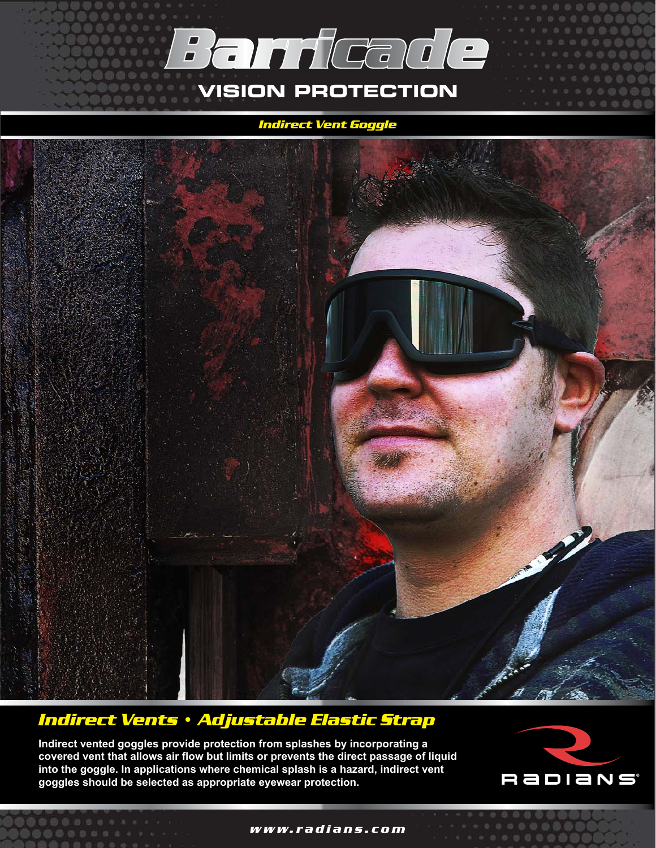

## *Indirect Vent Goggle*



## *Indirect Vents • Adjustable Elastic Strap*

**Indirect vented goggles provide protection from splashes by incorporating a covered vent that allows air flow but limits or prevents the direct passage of liquid into the goggle. In applications where chemical splash is a hazard, indirect vent goggles should be selected as appropriate eyewear protection.**



*www.radians.com*